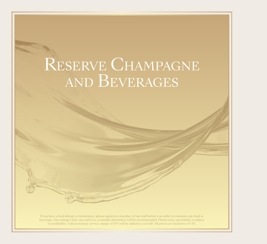# RESERVE CHAMPAGNE and Beverages

If you have a food allergy or intolerance, please speak to a member of our staff before you order or consume any food or beverage. Our vintages may vary and if so, a suitable alternative will be recommended. Please note, our whisky is subject to availability. A discretionary service charge of 15% will be added to your bill. All prices are inclusive of VAT.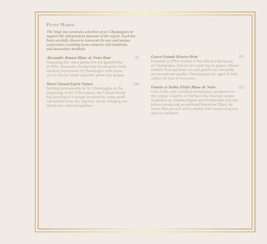### PETITE MAISON

*The Stage has curated a selection of six Champagnes to support the independent maisons of the region. Each has been carefully chosen to represent its rare and unique expressions, resulting from centuries-old traditions and innovative methods.* 

#### *Alexandre Bonnet Blanc de Noirs Brut* 85

Nurturing the vines planted by his grandfather in 1934, Alexandre Bonnet has developed a truly modern expression of Champagne with some of Les Riceys' most exquisite pinot noir grapes.

*Henri Giraud Esprit Nature* 100

Settling permanently in Aÿ-Champagne in the beginning of the 17th century, the Giraud family has developed a unique iteration by using small oak barrels from the Argonne forest, bringing out distinctive mineral qualities.

*Gosset Grande Réserve Brut* 110

Founded in 1584, Gosset is the oldest wine house in Champagne. Known for sourcing its grapes almost entirely from premier cru and grand cru vineyards, its exceptional quality Champagnes are aged in dark cellars for four to ten years.

#### *Vouette et Sorbée Fidèle Blanc de Noirs* 120

One of the only certified biodynamic producers in the region, Vouette et Sorbée's five-hectare estate is planted on Kimmeridgian and Portlandian soil, the former producing sensational limestone Blanc de Noirs that are rich and complex with notes of peach, apricot and pear.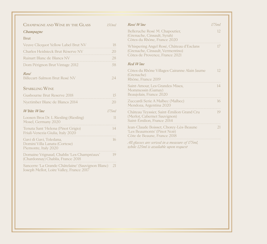| CHAMPAGNE AND WINE BY THE GLASS                                                                  | 150ml | Rosé Wine                                                                                             | 175ml |
|--------------------------------------------------------------------------------------------------|-------|-------------------------------------------------------------------------------------------------------|-------|
| Champagne<br><b>Brut</b>                                                                         |       | Belleruche Rosé M. Chapoutier,<br>(Grenache, Cinsault, Syrah)                                         | 12.   |
|                                                                                                  | 18    | Côtes du Rhône, France 2020                                                                           |       |
| Veuve Clicquot Yellow Label Brut NV<br>Charles Heidsieck Brut Réserve NV                         | 20    | Whispering Angel Rosé, Château d'Esclans<br>(Grenache, Cinsault, Vermentino)                          | 17    |
| Ruinart Blanc de Blancs NV                                                                       | 28    | Côtes de Provence, France 2021                                                                        |       |
| Dom Pérignon Brut Vintage 2012                                                                   | 58    | Red Wine                                                                                              |       |
| Rosé<br>Billecart-Salmon Brut Rosé NV                                                            | 24    | Côtes du Rhône Villages Cairanne Alain Jaume<br>(Grenache)<br>Rhône, France 2019                      | 12.   |
| <b>SPARKLING WINE</b>                                                                            |       | Saint-Amour, Les Grandes Mises,<br>Mommessin (Gamay)                                                  | 14    |
| Gusbourne Brut Reserve 2018                                                                      | 15    | Beaujolais, France 2020                                                                               |       |
| Nyetimber Blanc de Blancs 2014                                                                   | 20    | Zuccardi Serie A Malbec (Malbec)<br>Mendoza, Argentina 2020                                           | 16    |
| $White\,Wire$                                                                                    | 175ml | Château Teyssier, Saint-Émilion Grand Cru                                                             | 19    |
| Loosen Bros Dr. L Riesling (Riesling)<br>Mosel, Germany 2020                                     | 11    | (Merlot, Cabernet Sauvignon)<br>Saint-Émilion, France 2014                                            |       |
| Tenuta Sant 'Helena (Pinot Grigio)<br>Friuli-Venezia Giulia, Italy 2020                          | 14    | Jean-Claude Boisset, Chorey-Lès-Beaune<br>'Les Beaumonts' (Pinot Noir)<br>Côte de Beaune, France 2018 | 21    |
| Gavi di Gavi, Toledana,<br>Domini Villa Lanata (Cortese)<br>Piemonte, Italy 2020                 | 16    | All glasses are served in a measure of 175ml,<br>while 125ml is available upon request                |       |
| Domaine Vrignaud, Chablis 'Les Champréaux'<br>(Chardonnay) Chablis, France 2018                  | 19    |                                                                                                       |       |
| Sancerre 'La Grande Châtelaine' (Sauvignon Blanc) 21<br>Joseph Mellot, Loire Valley, France 2017 |       |                                                                                                       |       |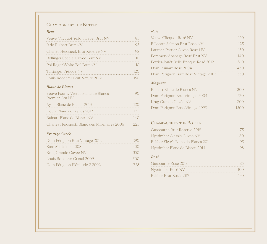## CHAMPAGNE BY THE BOTTLE

#### *Brut*

| Veuve Clicquot Yellow Label Brut NV | 85   |
|-------------------------------------|------|
| R de Ruinart Brut NV                | 95   |
| Charles Heidsieck Brut Réserve NV   | 98   |
| Bollinger Special Cuvée Brut NV     | 110  |
| Pol Roger White Foil Brut NV        | 110  |
| Taittinger Prélude NV               | 12.0 |
| Louis Roederer Brut Nature 2012     | 150  |

### *Blanc de Blancs*

| Veuve Fourny Vertus Blanc de Blancs,<br>Premier Cru NV | -) ( ) |
|--------------------------------------------------------|--------|
| Ayala Blanc de Blancs 2013                             | 120    |
| Deutz Blanc de Blancs 2012                             | 135    |
| Ruinart Blanc de Blancs NV                             | 140    |
| Charles Heidsieck, Blanc des Millénaires 2006          | 22.5   |

## *Prestige Cuvée*

| Dom Pérignon Brut Vintage 2012 | 290 |
|--------------------------------|-----|
| Rare Millésime 2008            | 300 |
| Krug Grande Cuvée NV           | 350 |
| Louis Roederer Cristal 2009    | 500 |
| Dom Pérignon Plénitude 2 2002  | 725 |

#### *Rosé*

| Veuve Clicquot Rosé NV               | 120  |
|--------------------------------------|------|
| Billecart-Salmon Brut Rosé NV        | 12.5 |
| Laurent-Perrier Cuvée Rosé NV        | 130  |
| Pommery Apanage Rosé Brut NV         | 140  |
| Perrier-Jouët Belle Epoque Rosé 2012 | 360  |
| Dom Ruinart Rosé 2004                | 450  |
| Dom Pérignon Brut Rosé Vintage 2005  | 550  |

## *Magnum*

| Ruinart Blanc de Blancs NV     | 30C  |
|--------------------------------|------|
| Dom Pérignon Brut Vintage 2004 | 750  |
| Krug Grande Cuvée NV           | 800  |
| Dom Pérignon Rosé Vintage 1998 | 1500 |

## $\sim$

## CHAMPAGNE BY THE BOTTLE

| Gusbourne Brut Reserve 2018         | 75  |
|-------------------------------------|-----|
| Nyetimber Classic Cuvée NV          | 80  |
| Balfour Skye's Blanc de Blancs 2014 | 95  |
| Nyetimber Blanc de Blancs 2014      | 98  |
| Rosé                                |     |
| Gusbourne Rosé 2018                 | 85  |
| Nyetimber Rosé NV                   | 100 |
| Balfour Brut Rosé 2017              |     |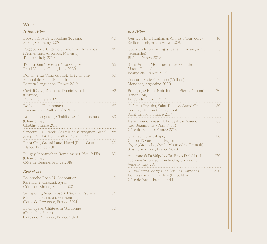## **WINE**

### *White Wine*

| Loosen Bros Dr L Riesling (Riesling)<br>Mosel, Germany 2020                                                    | 40  |
|----------------------------------------------------------------------------------------------------------------|-----|
| Poggiotondo, Organic Vermentino/Ansonica<br>(Vermentino, Ansonica, Malvasia)<br>Tuscany, Italy 2019            | 45  |
| Tenuta Sant 'Helena (Pinot Grigio)<br>Friuli-Venezia Giulia, Italy 2020                                        | 55  |
| Domaine La Croix Gratiot, 'Bréchallune'<br>Picpoul de Pinet (Picpoul)<br>Eastern Languedoc, France 2019        | 60  |
| Gavi di Gavi, Toledana, Domini Villa Lanata<br>(Cortese)<br>Piemonte, Italy 2020                               | 62  |
| De Loach (Chardonnay)<br>Russian River Valley, USA 2018                                                        | 68  |
| Domaine Vrignaud, Chablis 'Les Champréaux'<br>(Chardonnay)<br>Chablis, France 2018                             | 80  |
| Sancerre 'La Grande Châtelaine' (Sauvignon Blanc)<br>Joseph Mellot, Loire Valley, France 2017                  | 88  |
| Pinot Gris, Grossi Laue, Hugel (Pinot Gris)<br>Alsace, France 2012                                             | 120 |
| Puligny-Montrachet, Remoissenet Père & Fils<br>(Chardonnay)<br>Côte de Beaune, France 2018                     | 180 |
| Rosé Wine                                                                                                      |     |
| Belleruche Rosé M. Chapoutier,<br>(Grenache, Cinsault, Syrah)<br>Côtes du Rhône, France 2020                   | 40  |
| Whispering Angel Rosé, Château d'Esclans<br>(Grenache, Cinsault, Vermentino)<br>Côtes de Provence, France 2021 | 75  |
| La Chapelle, Château la Gordonne<br>(Grenache, Syrah)<br>Côtes de Provence, France 2020                        | 80  |

#### *Red Wine*

| Journey's End Huntsman (Shiraz, Mourvèdre)<br>Stellenbosch, South Africa 2020                                                        | 40  |
|--------------------------------------------------------------------------------------------------------------------------------------|-----|
| Côtes du Rhône Villages Cairanne Alain Jaume<br>(Grenache)<br>Rhône, France 2019                                                     | 46  |
| Saint-Amour, Mommessin Les Grandes<br>Mises (Gamay)<br>Beaujolais, France 2020                                                       | 55  |
| Zuccardi Serie A Malbec (Malbec)<br>Mendoza, Argentina 2020                                                                          | 62  |
| Bourgogne Pinot Noir, Jomard, Pierre Dupond<br>(Pinot Noir)<br>Burgundy, France 2019                                                 | 70  |
| Château Teyssier, Saint-Émilion Grand Cru<br>(Merlot, Cabernet Sauvignon)<br>Saint-Émilion, France 2014                              | 80  |
| Jean-Claude Boisset, Chorey-Lès-Beaune<br>'Les Beaumonts' (Pinot Noir)<br>Côte de Beaune, France 2018                                | 88  |
| Châteauneuf-du-Pape,<br>Clos de l'Oratoire des Papes,<br>Ogier (Grenache, Syrah, Mourvèdre, Cinsault)<br>Southern Rhône, France 2020 | 110 |
| Amarone della Valpolicella, Brolo Dei Giusti<br>(Corvina Veronese, Rondinella, Corvinone)<br>Veneto, Italy 2011                      | 170 |
| Nuits-Saint-Georges 1er Cru Les Damodes,<br>Remoissenet Père & Fils (Pinot Noir)<br>Côte de Nuits, France 2014                       | 200 |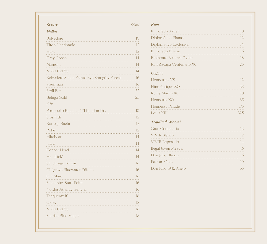| Vodka<br>Belvedere<br>Tito's Handmade<br>Haku<br><b>Grey Goose</b><br>Mamont<br>Nikka Coffey<br>Belvedere Single Estate Rye Smogóry Forest<br>Kauffman<br>Stoli Elit<br>Beluga Gold<br>Gin<br>Portobello Road No.171 London Dry<br>Sipsmith<br>Bottega Bacûr<br>Roku<br>Mirabeau<br>Jinzu<br>Copper Head<br>Hendrick's<br>St. George Terroir<br>Chilgrove Bluewater Edition<br>Gin Mare<br>Salcombe, Start Point<br>Nordes Atlantic Galician<br>Tanqueray 10<br>Oxley<br>Nikka Coffey | <b>SPIRITS</b>     | 50ml |
|---------------------------------------------------------------------------------------------------------------------------------------------------------------------------------------------------------------------------------------------------------------------------------------------------------------------------------------------------------------------------------------------------------------------------------------------------------------------------------------|--------------------|------|
|                                                                                                                                                                                                                                                                                                                                                                                                                                                                                       |                    |      |
|                                                                                                                                                                                                                                                                                                                                                                                                                                                                                       |                    | 10   |
|                                                                                                                                                                                                                                                                                                                                                                                                                                                                                       |                    | 12   |
|                                                                                                                                                                                                                                                                                                                                                                                                                                                                                       |                    | 12   |
|                                                                                                                                                                                                                                                                                                                                                                                                                                                                                       |                    | 14   |
|                                                                                                                                                                                                                                                                                                                                                                                                                                                                                       |                    | 14   |
|                                                                                                                                                                                                                                                                                                                                                                                                                                                                                       |                    | 14   |
|                                                                                                                                                                                                                                                                                                                                                                                                                                                                                       |                    | 16   |
|                                                                                                                                                                                                                                                                                                                                                                                                                                                                                       |                    | 16   |
|                                                                                                                                                                                                                                                                                                                                                                                                                                                                                       |                    | 22   |
|                                                                                                                                                                                                                                                                                                                                                                                                                                                                                       |                    | 25   |
|                                                                                                                                                                                                                                                                                                                                                                                                                                                                                       |                    |      |
|                                                                                                                                                                                                                                                                                                                                                                                                                                                                                       |                    | 10   |
|                                                                                                                                                                                                                                                                                                                                                                                                                                                                                       |                    | 12   |
|                                                                                                                                                                                                                                                                                                                                                                                                                                                                                       |                    | 12   |
|                                                                                                                                                                                                                                                                                                                                                                                                                                                                                       |                    | 12   |
|                                                                                                                                                                                                                                                                                                                                                                                                                                                                                       |                    | 14   |
|                                                                                                                                                                                                                                                                                                                                                                                                                                                                                       |                    | 14   |
|                                                                                                                                                                                                                                                                                                                                                                                                                                                                                       |                    | 14   |
|                                                                                                                                                                                                                                                                                                                                                                                                                                                                                       |                    | 14   |
|                                                                                                                                                                                                                                                                                                                                                                                                                                                                                       |                    | 16   |
|                                                                                                                                                                                                                                                                                                                                                                                                                                                                                       |                    | 16   |
|                                                                                                                                                                                                                                                                                                                                                                                                                                                                                       |                    | 16   |
|                                                                                                                                                                                                                                                                                                                                                                                                                                                                                       |                    | 16   |
|                                                                                                                                                                                                                                                                                                                                                                                                                                                                                       |                    | 16   |
|                                                                                                                                                                                                                                                                                                                                                                                                                                                                                       |                    | 16   |
|                                                                                                                                                                                                                                                                                                                                                                                                                                                                                       |                    | 18   |
|                                                                                                                                                                                                                                                                                                                                                                                                                                                                                       |                    | 18   |
|                                                                                                                                                                                                                                                                                                                                                                                                                                                                                       | Sharish Blue Magic | 18   |

| El Dorado 3 year         | 10       |
|--------------------------|----------|
| Diplomático Planas       | 12       |
| Diplomático Exclusiva    | 14       |
| El Dorado 15 year        | 16       |
| Eminente Reserva 7 year  | 18       |
| Ron Zacapa Centenario XO | 25       |
| Cognac                   |          |
| Hennessey VS             | $12^{1}$ |
| Hine Antique XO          | 28       |
| Rémy Martin XO           | 30       |
| Hennessy XO              | 35       |
| Hennessy Paradis         | 175      |
| Louis XIII               | 32.5     |
| Tequila & Mezcal         |          |
| Crop Contonario          | 12       |

*Rum*

| Gran Centenario       |     |
|-----------------------|-----|
| <b>VIVIR Blanco</b>   | 12  |
| <b>VIVIR Reposado</b> | 14  |
| Ilegal Joven Mezcal   |     |
| Don Julio Blanco      |     |
| Patrón Añejo          | 2() |
| Don Julio 1942 Añejo  |     |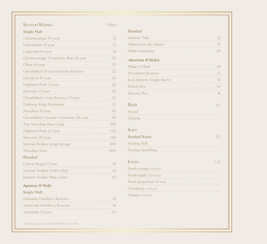| <b>SCOTCH WHISKY</b>                 | 50ml    |
|--------------------------------------|---------|
| <b>Single Malt</b>                   |         |
| Glenmorangie 10 year                 | 12      |
| Dalwhinnie 15 year                   | 12      |
| Lagavulin 16 year                    | 16      |
| Glenmorangie Extremely Rare 18 year  | 20      |
| Oban 14 year                         | 20<br>. |
| Glenfiddich 18 year Ancient Reserve  | 22      |
| Glenlivet 18 year                    | 24<br>. |
| Highland Park 21 year                | 26      |
| Balvenie 21 year                     | 30      |
| Glenfiddich, Gran Reserva 21 year    | 30      |
| Dalmore King Alexander               | 35      |
| Macallan 18 year                     | 40      |
| Glenfiddich, Grande Couronne 26 year | 80      |
| The Macallan Rare Cask               | 100     |
| Highland Park 25 year                | 120     |
| Balvenie 30 year                     | 140     |
| Johnnie Walker King George           | 300     |
| Macallan No.6                        | 400     |
| <b>Blended</b>                       |         |
| Chivas Regal 12 year                 | 10      |
| Johnnie Walker Gold Label            | 14      |
| Johnnie Walker Blue Label            | 50      |
| Japanese Whisky                      |         |
| <b>Single Malt</b>                   |         |
| Hakushu Distiller's Reserve          | 16      |
| Yamazaki Distiller's Reserve         | 16      |
| Yamazaki 12 year                     | 24      |

| <b>Blended</b>                                           |      |
|----------------------------------------------------------|------|
| Suntory Toki                                             | 12   |
| Nikka from the Barrel                                    | 15   |
| Hibiki Harmony                                           | 20   |
| <b>American Whiskey</b>                                  |      |
| Maker's Mark                                             | 10   |
| <b>Woodford Reserve</b>                                  | 12   |
| Jack Daniel's Single Barrel                              | 16   |
| <b>Bulleit Rye</b>                                       | 14   |
| Sazerac Rye                                              | 16   |
|                                                          |      |
| <b>BEER</b>                                              | 6.5  |
| Peroni<br>Estrella<br><b>SOFT</b>                        |      |
|                                                          | 5.5  |
| <b>Bottled Water</b><br>Nordaq Still<br>Nordaq Sparkling |      |
|                                                          |      |
| <b>JUICES</b>                                            | 5.25 |
| Fresh orange (96 kcal)                                   |      |
| Fresh apple (220 kcal)<br>.                              |      |
| Fresh grapefruit (97 kcal)                               |      |
| Cranberry (113 kcal)                                     |      |
| Tomato (36 kcal)                                         |      |

Adults require around 2000 kcal per day